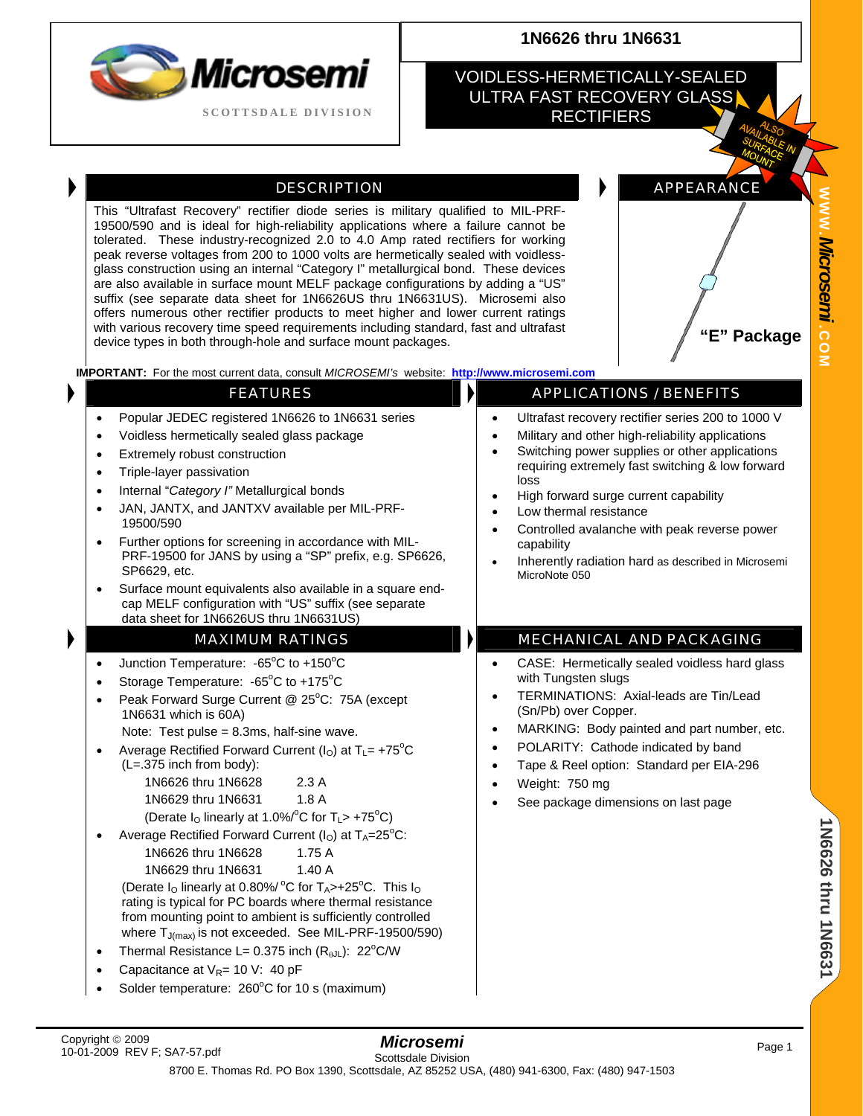| Microsemi                  |
|----------------------------|
| <b>SCOTTSDALE DIVISION</b> |

# **1N6626 thru 1N6631**

#### VOIDLESS-HERMETICALLY-SEALED ULTRA FAST RECOVERY GLASS **RECTIFIERS**

#### DESCRIPTION **APPEARANCE**

This "Ultrafast Recovery" rectifier diode series is military qualified to MIL-PRF-19500/590 and is ideal for high-reliability applications where a failure cannot be tolerated. These industry-recognized 2.0 to 4.0 Amp rated rectifiers for working peak reverse voltages from 200 to 1000 volts are hermetically sealed with voidlessglass construction using an internal "Category I" metallurgical bond. These devices are also available in surface mount MELF package configurations by adding a "US" suffix (see separate data sheet for 1N6626US thru 1N6631US). Microsemi also offers numerous other rectifier products to meet higher and lower current ratings with various recovery time speed requirements including standard, fast and ultrafast with various recovery time speed requirements including standard, rast and ditributed **and the surface of the standard device types in both through-hole and surface mount packages.** 

**IMPORTANT:** For the most current data, consult *MICROSEMI's* website: **[http://www.microsemi.com](http://www.microsemi.com/)**

**WWW .**

| Popular JEDEC registered 1N6626 to 1N6631 series<br>$\bullet$<br>Voidless hermetically sealed glass package<br>٠<br>Extremely robust construction<br>$\bullet$<br>Triple-layer passivation<br>$\bullet$<br>Internal "Category I" Metallurgical bonds<br>$\bullet$<br>JAN, JANTX, and JANTXV available per MIL-PRF-<br>$\bullet$<br>19500/590<br>Further options for screening in accordance with MIL-<br>$\bullet$<br>PRF-19500 for JANS by using a "SP" prefix, e.g. SP6626,<br>SP6629, etc.<br>Surface mount equivalents also available in a square end-<br>$\bullet$<br>cap MELF configuration with "US" suffix (see separate<br>data sheet for 1N6626US thru 1N6631US)                                                                                                                                   | Ultrafast recovery rectifier series 200 to 1000 V<br>$\bullet$<br>Military and other high-reliability applications<br>$\bullet$<br>Switching power supplies or other applications<br>requiring extremely fast switching & low forward<br>loss<br>High forward surge current capability<br>Low thermal resistance<br>$\bullet$<br>Controlled avalanche with peak reverse power<br>capability<br>Inherently radiation hard as described in Microsemi<br>MicroNote 050 |
|--------------------------------------------------------------------------------------------------------------------------------------------------------------------------------------------------------------------------------------------------------------------------------------------------------------------------------------------------------------------------------------------------------------------------------------------------------------------------------------------------------------------------------------------------------------------------------------------------------------------------------------------------------------------------------------------------------------------------------------------------------------------------------------------------------------|---------------------------------------------------------------------------------------------------------------------------------------------------------------------------------------------------------------------------------------------------------------------------------------------------------------------------------------------------------------------------------------------------------------------------------------------------------------------|
| <b>MAXIMUM RATINGS</b>                                                                                                                                                                                                                                                                                                                                                                                                                                                                                                                                                                                                                                                                                                                                                                                       | <b>MECHANICAL AND PACKAGING</b>                                                                                                                                                                                                                                                                                                                                                                                                                                     |
| Junction Temperature: -65°C to +150°C<br>$\bullet$<br>Storage Temperature: -65°C to +175°C<br>$\bullet$<br>Peak Forward Surge Current @ 25°C: 75A (except<br>$\bullet$<br>1N6631 which is 60A)<br>Note: Test pulse = 8.3ms, half-sine wave.<br>Average Rectified Forward Current ( $IO$ ) at T <sub>L</sub> = +75 <sup>°</sup> C<br>$\bullet$<br>$(L=.375$ inch from body):<br>1N6626 thru 1N6628<br>2.3A<br>1.8A<br>1N6629 thru 1N6631<br>(Derate $I_0$ linearly at 1.0%/°C for $T_L$ > +75°C)<br>Average Rectified Forward Current ( $IO$ ) at T <sub>A</sub> =25 <sup>°</sup> C:<br>1N6626 thru 1N6628<br>1.75A<br>1N6629 thru 1N6631<br>1.40A<br>(Derate I <sub>O</sub> linearly at 0.80%/ °C for T <sub>A</sub> >+25°C. This I <sub>O</sub><br>rating is typical for PC boards where thermal resistance | CASE: Hermetically sealed voidless hard glass<br>$\bullet$<br>with Tungsten slugs<br>TERMINATIONS: Axial-leads are Tin/Lead<br>(Sn/Pb) over Copper.<br>MARKING: Body painted and part number, etc.<br>$\bullet$<br>POLARITY: Cathode indicated by band<br>$\bullet$<br>Tape & Reel option: Standard per EIA-296<br>$\bullet$<br>Weight: 750 mg<br>$\bullet$<br>See package dimensions on last page                                                                  |

**FEATURES APPLICATIONS / BENEFITS** 

where  $T_{J(max)}$  is not exceeded. See MIL-PRF-19500/590) • Thermal Resistance L= 0.375 inch  $(R_{\theta}J)$ : 22<sup>o</sup>C/W

from mounting point to ambient is sufficiently controlled

- Capacitance at  $V_{R}$ = 10 V: 40 pF
- Solder temperature:  $260^{\circ}$ C for 10 s (maximum)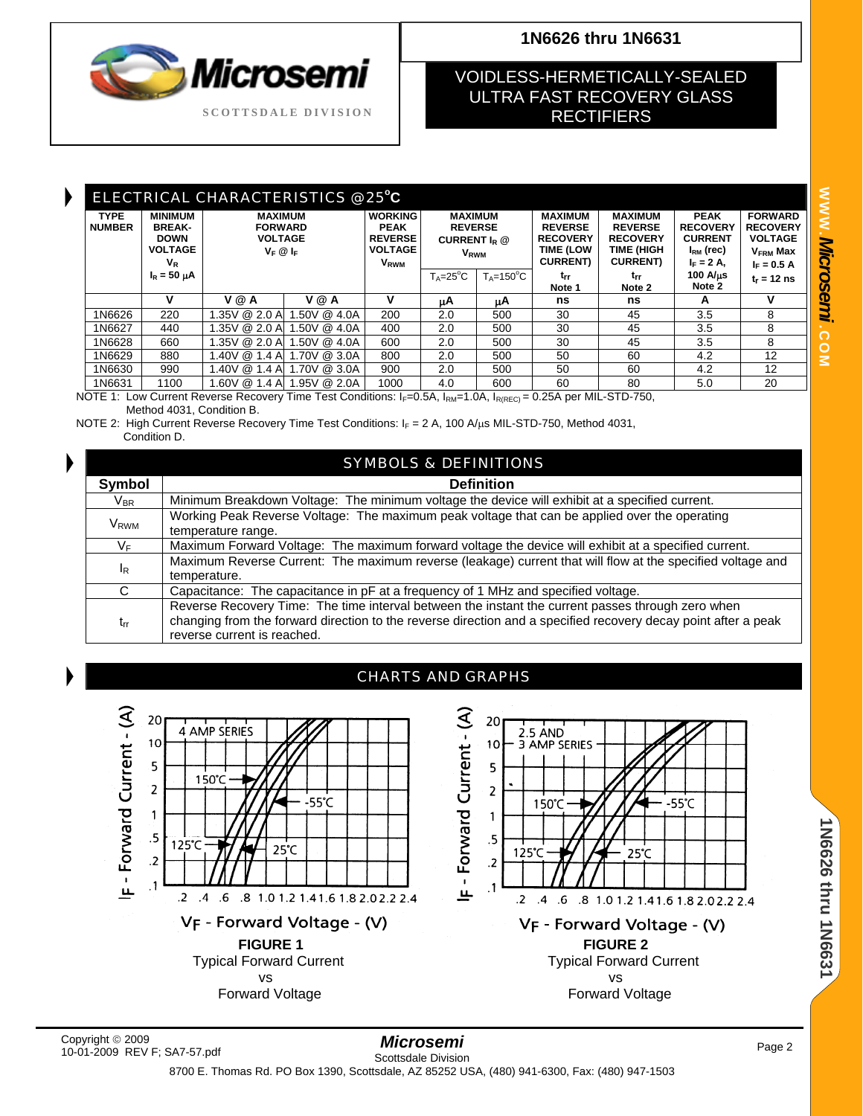

# **1N6626 thru 1N6631**

# VOIDLESS-HERMETICALLY-SEALED ULTRA FAST RECOVERY GLASS **RECTIFIERS**

|                              | ELECTRICAL CHARACTERISTICS @ 25°C                                         |                                                                   |              |                                                                                             |                                                                               |                      |                                                                                             |                                                                                       |                                                                                       |                                                                                                    |
|------------------------------|---------------------------------------------------------------------------|-------------------------------------------------------------------|--------------|---------------------------------------------------------------------------------------------|-------------------------------------------------------------------------------|----------------------|---------------------------------------------------------------------------------------------|---------------------------------------------------------------------------------------|---------------------------------------------------------------------------------------|----------------------------------------------------------------------------------------------------|
| <b>TYPE</b><br><b>NUMBER</b> | <b>MINIMUM</b><br><b>BREAK-</b><br><b>DOWN</b><br><b>VOLTAGE</b><br>$V_R$ | <b>MAXIMUM</b><br><b>FORWARD</b><br><b>VOLTAGE</b><br>$V_F @ I_F$ |              | <b>WORKING</b><br><b>PEAK</b><br><b>REVERSE</b><br><b>VOLTAGE</b><br><b>V<sub>RWM</sub></b> | <b>MAXIMUM</b><br><b>REVERSE</b><br>CURRENT $I_R @$<br><b>V<sub>RWM</sub></b> |                      | <b>MAXIMUM</b><br><b>REVERSE</b><br><b>RECOVERY</b><br><b>TIME (LOW</b><br><b>CURRENT</b> ) | <b>MAXIMUM</b><br><b>REVERSE</b><br><b>RECOVERY</b><br>TIME (HIGH<br><b>CURRENT</b> ) | <b>PEAK</b><br><b>RECOVERY</b><br><b>CURRENT</b><br>$I_{\rm RM}$ (rec)<br>$I_F = 2 A$ | <b>FORWARD</b><br><b>RECOVERY</b><br><b>VOLTAGE</b><br><b>V<sub>FRM</sub></b> Max<br>$I_F = 0.5 A$ |
|                              | $I_R = 50 \mu A$                                                          |                                                                   |              |                                                                                             | $T_A = 25^\circ C$                                                            | $T_A = 150^{\circ}C$ | trr<br>Note 1                                                                               | trr<br>Note 2                                                                         | $100$ A/ $\mu$ s<br>Note 2                                                            | $t_r = 12$ ns                                                                                      |
|                              | v                                                                         | V @ A                                                             | V @ A        | v                                                                                           | μA                                                                            | uΑ                   | ns                                                                                          | ns                                                                                    | A                                                                                     | v                                                                                                  |
| 1N6626                       | 220                                                                       | 1.35V @ 2.0 A                                                     | .50V @ 4.0A  | 200                                                                                         | 2.0                                                                           | 500                  | 30                                                                                          | 45                                                                                    | 3.5                                                                                   | 8                                                                                                  |
| 1N6627                       | 440                                                                       | 1.35V @ 2.0 A                                                     | .50V @ 4.0A  | 400                                                                                         | 2.0                                                                           | 500                  | 30                                                                                          | 45                                                                                    | 3.5                                                                                   | 8                                                                                                  |
| 1N6628                       | 660                                                                       | 1.35V @ 2.0 A                                                     | .50V @ 4.0A  | 600                                                                                         | 2.0                                                                           | 500                  | 30                                                                                          | 45                                                                                    | 3.5                                                                                   | 8                                                                                                  |
| 1N6629                       | 880                                                                       | 1.40V @ 1.4 A                                                     | 1.70V @ 3.0A | 800                                                                                         | 2.0                                                                           | 500                  | 50                                                                                          | 60                                                                                    | 4.2                                                                                   | 12                                                                                                 |
| 1N6630                       | 990                                                                       | 1.40V @ 1.4 A                                                     | 1.70V @ 3.0A | 900                                                                                         | 2.0                                                                           | 500                  | 50                                                                                          | 60                                                                                    | 4.2                                                                                   | 12                                                                                                 |
| 1N6631                       | 1100                                                                      | 1.60V @ 1.4 A                                                     | 1.95V @ 2.0A | 1000                                                                                        | 4.0                                                                           | 600                  | 60                                                                                          | 80                                                                                    | 5.0                                                                                   | 20                                                                                                 |

NOTE 1: Low Current Reverse Recovery Time Test Conditions: I<sub>F</sub>=0.5A, I<sub>RM</sub>=1.0A, I<sub>R(REC)</sub> = 0.25A per MIL-STD-750, Method 4031, Condition B.

NOTE 2: High Current Reverse Recovery Time Test Conditions:  $I_F = 2 A$ , 100 A/ $\mu$ s MIL-STD-750, Method 4031, Condition D.

| <b>SYMBOLS &amp; DEFINITIONS</b> |                                                                                                                                                                                                                                                    |  |  |  |  |  |
|----------------------------------|----------------------------------------------------------------------------------------------------------------------------------------------------------------------------------------------------------------------------------------------------|--|--|--|--|--|
| Symbol                           | <b>Definition</b>                                                                                                                                                                                                                                  |  |  |  |  |  |
| $V_{\sf BR}$                     | Minimum Breakdown Voltage: The minimum voltage the device will exhibit at a specified current.                                                                                                                                                     |  |  |  |  |  |
| <b>V</b> <sub>RWM</sub>          | Working Peak Reverse Voltage: The maximum peak voltage that can be applied over the operating<br>temperature range.                                                                                                                                |  |  |  |  |  |
| $V_F$                            | Maximum Forward Voltage: The maximum forward voltage the device will exhibit at a specified current.                                                                                                                                               |  |  |  |  |  |
| $I_R$                            | Maximum Reverse Current: The maximum reverse (leakage) current that will flow at the specified voltage and<br>temperature.                                                                                                                         |  |  |  |  |  |
| C.                               | Capacitance: The capacitance in pF at a frequency of 1 MHz and specified voltage.                                                                                                                                                                  |  |  |  |  |  |
| $t_{rr}$                         | Reverse Recovery Time: The time interval between the instant the current passes through zero when<br>changing from the forward direction to the reverse direction and a specified recovery decay point after a peak<br>reverse current is reached. |  |  |  |  |  |



#### CHARTS AND GRAPHS



1N6626 thru 1N6631 **1N6626 thru 1N6631**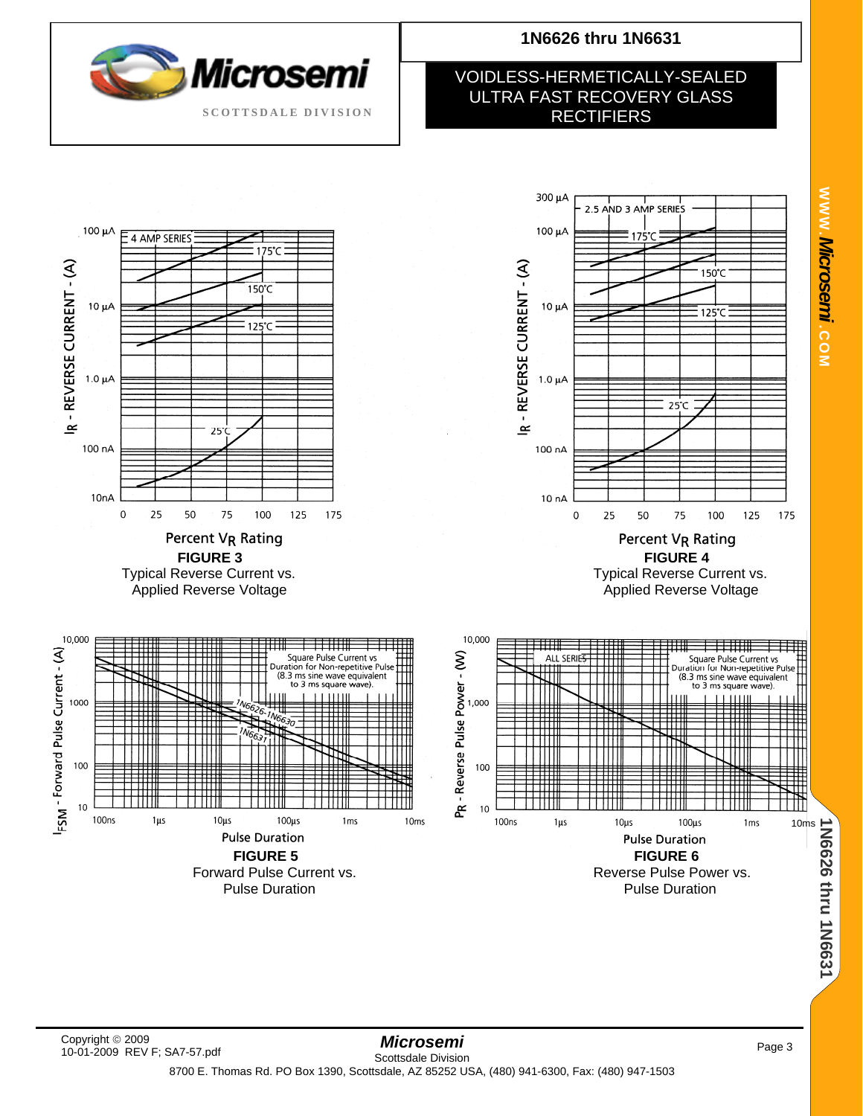

# **1N6626 thru 1N6631**

## VOIDLESS-HERMETICALLY-SEALED ULTRA FAST RECOVERY GLASS **RECTIFIERS**

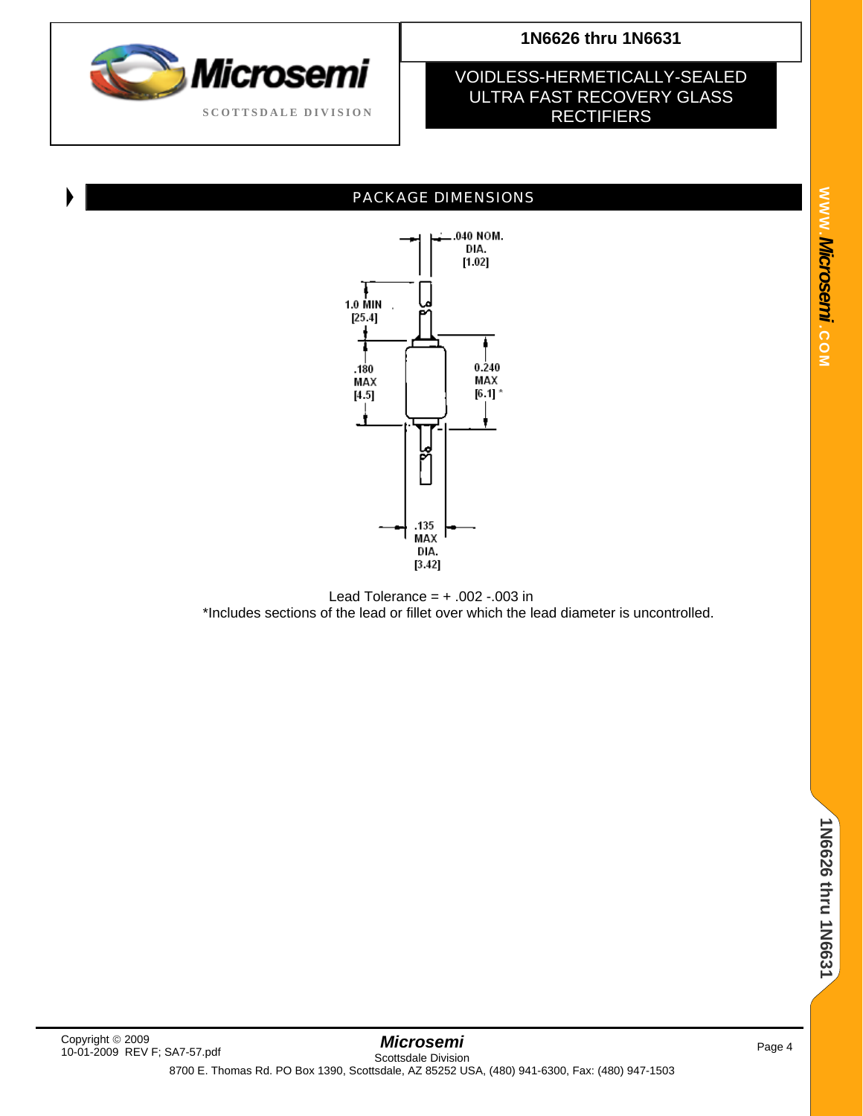

### VOIDLESS-HERMETICALLY-SEALED ULTRA FAST RECOVERY GLASS **RECTIFIERS**

## PACKAGE DIMENSIONS



Lead Tolerance =  $+ .002 - .003$  in \*Includes sections of the lead or fillet over which the lead diameter is uncontrolled.